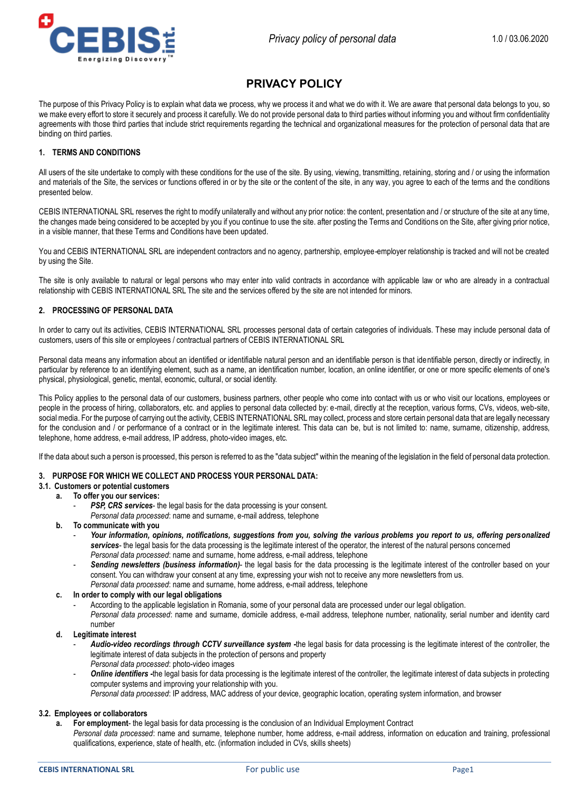

# **PRIVACY POLICY**

The purpose of this Privacy Policy is to explain what data we process, why we process it and what we do with it. We are aware that personal data belongs to you, so we make every effort to store it securely and process it carefully. We do not provide personal data to third parties without informing you and without firm confidentiality agreements with those third parties that include strict requirements regarding the technical and organizational measures for the protection of personal data that are binding on third parties.

### **1. TERMS AND CONDITIONS**

All users of the site undertake to comply with these conditions for the use of the site. By using, viewing, transmitting, retaining, storing and / or using the information and materials of the Site, the services or functions offered in or by the site or the content of the site, in any way, you agree to each of the terms and the conditions presented below.

CEBIS INTERNATIONAL SRL reserves the right to modify unilaterally and without any prior notice: the content, presentation and / or structure of the site at any time, the changes made being considered to be accepted by you if you continue to use the site. after posting the Terms and Conditions on the Site, after giving prior notice, in a visible manner, that these Terms and Conditions have been updated.

You and CEBIS INTERNATIONAL SRL are independent contractors and no agency, partnership, employee-employer relationship is tracked and will not be created by using the Site.

The site is only available to natural or legal persons who may enter into valid contracts in accordance with applicable law or who are already in a contractual relationship with CEBIS INTERNATIONAL SRL The site and the services offered by the site are not intended for minors.

## **2. PROCESSING OF PERSONAL DATA**

In order to carry out its activities, CEBIS INTERNATIONAL SRL processes personal data of certain categories of individuals. These may include personal data of customers, users of this site or employees / contractual partners of CEBIS INTERNATIONAL SRL

Personal data means any information about an identified or identifiable natural person and an identifiable person is that identifiable person, directly or indirectly, in particular by reference to an identifying element, such as a name, an identification number, location, an online identifier, or one or more specific elements of one's physical, physiological, genetic, mental, economic, cultural, or social identity.

This Policy applies to the personal data of our customers, business partners, other people who come into contact with us or who visit our locations, employees or people in the process of hiring, collaborators, etc. and applies to personal data collected by: e-mail, directly at the reception, various forms, CVs, videos, web-site, social media. For the purpose of carrying out the activity, CEBIS INTERNATIONAL SRL may collect, process and store certain personal data that are legally necessary for the conclusion and / or performance of a contract or in the legitimate interest. This data can be, but is not limited to: name, surname, citizenship, address, telephone, home address, e-mail address, IP address, photo-video images, etc.

If the data about such a person is processed, this person is referred to as the "data subject" within the meaning of the legislation in the field of personal data protection.

### **3. PURPOSE FOR WHICH WE COLLECT AND PROCESS YOUR PERSONAL DATA:**

## **3.1. Customers or potential customers**

## **a. To offer you our services:**

- **PSP, CRS services** the legal basis for the data processing is your consent.
- *Personal data processed*: name and surname, e-mail address, telephone
- **b. To communicate with you**
	- *Your information, opinions, notifications, suggestions from you, solving the various problems you report to us, offering personalized services*- the legal basis for the data processing is the legitimate interest of the operator, the interest of the natural persons concerned *Personal data processed*: name and surname, home address, e-mail address, telephone
	- Sending newsletters (business information)- the legal basis for the data processing is the legitimate interest of the controller based on your consent. You can withdraw your consent at any time, expressing your wish not to receive any more newsletters from us. *Personal data processed*: name and surname, home address, e-mail address, telephone

### **c. In order to comply with our legal obligations**

- According to the applicable legislation in Romania, some of your personal data are processed under our legal obligation. *Personal data processed*: name and surname, domicile address, e-mail address, telephone number, nationality, serial number and identity card number

## **d. Legitimate interest**

- *Audio-video recordings through CCTV surveillance system -*the legal basis for data processing is the legitimate interest of the controller, the legitimate interest of data subjects in the protection of persons and property *Personal data processed*: photo-video images
- *Online identifiers -*the legal basis for data processing is the legitimate interest of the controller, the legitimate interest of data subjects in protecting computer systems and improving your relationship with you.

*Personal data processed*: IP address, MAC address of your device, geographic location, operating system information, and browser

### **3.2. Employees or collaborators**

**a. For employment**- the legal basis for data processing is the conclusion of an Individual Employment Contract *Personal data processed*: name and surname, telephone number, home address, e-mail address, information on education and training, professional qualifications, experience, state of health, etc. (information included in CVs, skills sheets)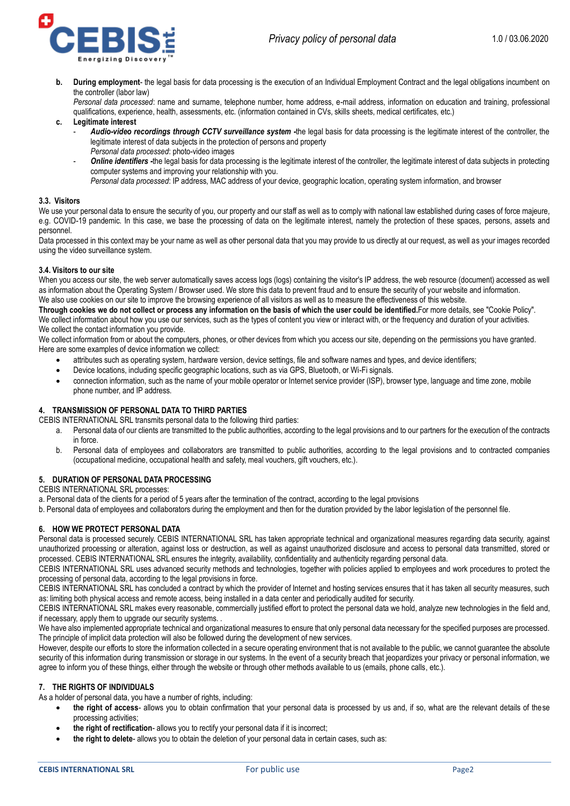



**b. During employment**- the legal basis for data processing is the execution of an Individual Employment Contract and the legal obligations incumbent on the controller (labor law)

*Personal data processed*: name and surname, telephone number, home address, e-mail address, information on education and training, professional qualifications, experience, health, assessments, etc. (information contained in CVs, skills sheets, medical certificates, etc.)

### **c. Legitimate interest**

- *Audio-video recordings through CCTV surveillance system -*the legal basis for data processing is the legitimate interest of the controller, the legitimate interest of data subjects in the protection of persons and property *Personal data processed*: photo-video images
- *Online identifiers -*the legal basis for data processing is the legitimate interest of the controller, the legitimate interest of data subjects in protecting computer systems and improving your relationship with you.
	- *Personal data processed*: IP address, MAC address of your device, geographic location, operating system information, and browser

### **3.3. Visitors**

We use your personal data to ensure the security of you, our property and our staff as well as to comply with national law established during cases of force majeure, e.g. COVID-19 pandemic. In this case, we base the processing of data on the legitimate interest, namely the protection of these spaces, persons, assets and personnel.

Data processed in this context may be your name as well as other personal data that you may provide to us directly at our request, as well as your images recorded using the video surveillance system.

### **3.4. Visitors to our site**

When you access our site, the web server automatically saves access logs (logs) containing the visitor's IP address, the web resource (document) accessed as well as information about the Operating System / Browser used. We store this data to prevent fraud and to ensure the security of your website and information. We also use cookies on our site to improve the browsing experience of all visitors as well as to measure the effectiveness of this website.

**Through cookies we do not collect or process any information on the basis of which the user could be identified.**For more details, see "Cookie Policy". We collect information about how you use our services, such as the types of content you view or interact with, or the frequency and duration of your activities. We collect the contact information you provide.

We collect information from or about the computers, phones, or other devices from which you access our site, depending on the permissions you have granted. Here are some examples of device information we collect:

- attributes such as operating system, hardware version, device settings, file and software names and types, and device identifiers;
- Device locations, including specific geographic locations, such as via GPS, Bluetooth, or Wi-Fi signals.
- connection information, such as the name of your mobile operator or Internet service provider (ISP), browser type, language and time zone, mobile phone number, and IP address.

### **4. TRANSMISSION OF PERSONAL DATA TO THIRD PARTIES**

CEBIS INTERNATIONAL SRL transmits personal data to the following third parties:

- a. Personal data of our clients are transmitted to the public authorities, according to the legal provisions and to our partners for the execution of the contracts in force.
- b. Personal data of employees and collaborators are transmitted to public authorities, according to the legal provisions and to contracted companies (occupational medicine, occupational health and safety, meal vouchers, gift vouchers, etc.).

## **5. DURATION OF PERSONAL DATA PROCESSING**

CEBIS INTERNATIONAL SRL processes:

a. Personal data of the clients for a period of 5 years after the termination of the contract, according to the legal provisions

b. Personal data of employees and collaborators during the employment and then for the duration provided by the labor legislation of the personnel file.

### **6. HOW WE PROTECT PERSONAL DATA**

Personal data is processed securely. CEBIS INTERNATIONAL SRL has taken appropriate technical and organizational measures regarding data security, against unauthorized processing or alteration, against loss or destruction, as well as against unauthorized disclosure and access to personal data transmitted, stored or processed. CEBIS INTERNATIONAL SRL ensures the integrity, availability, confidentiality and authenticity regarding personal data.

CEBIS INTERNATIONAL SRL uses advanced security methods and technologies, together with policies applied to employees and work procedures to protect the processing of personal data, according to the legal provisions in force.

CEBIS INTERNATIONAL SRL has concluded a contract by which the provider of Internet and hosting services ensures that it has taken all security measures, such as: limiting both physical access and remote access, being installed in a data center and periodically audited for security.

CEBIS INTERNATIONAL SRL makes every reasonable, commercially justified effort to protect the personal data we hold, analyze new technologies in the field and, if necessary, apply them to upgrade our security systems. .

We have also implemented appropriate technical and organizational measures to ensure that only personal data necessary for the specified purposes are processed. The principle of implicit data protection will also be followed during the development of new services.

However, despite our efforts to store the information collected in a secure operating environment that is not available to the public, we cannot guarantee the absolute security of this information during transmission or storage in our systems. In the event of a security breach that jeopardizes your privacy or personal information, we agree to inform you of these things, either through the website or through other methods available to us (emails, phone calls, etc.).

### **7. THE RIGHTS OF INDIVIDUALS**

As a holder of personal data, you have a number of rights, including:

- **the right of access** allows you to obtain confirmation that your personal data is processed by us and, if so, what are the relevant details of these processing activities;
- **the right of rectification** allows you to rectify your personal data if it is incorrect;
- **the right to delete** allows you to obtain the deletion of your personal data in certain cases, such as: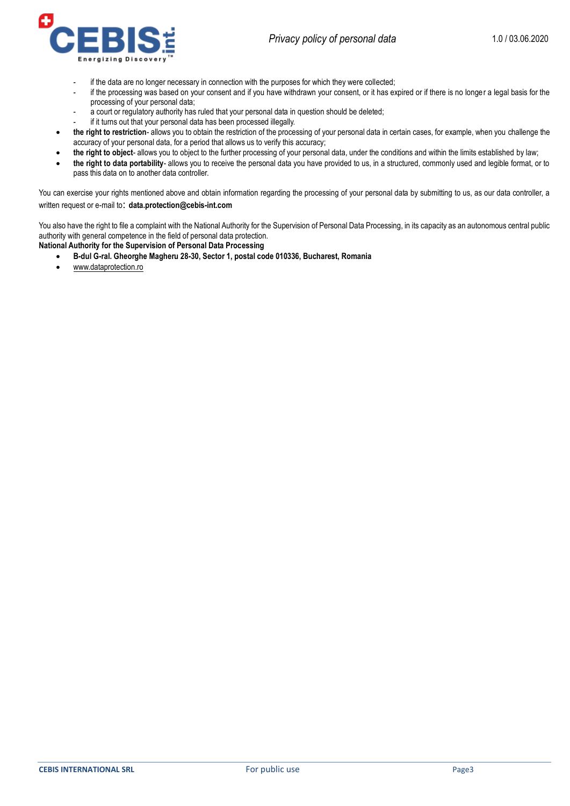

- if the data are no longer necessary in connection with the purposes for which they were collected;
- if the processing was based on your consent and if you have withdrawn your consent, or it has expired or if there is no longer a legal basis for the processing of your personal data;
- a court or regulatory authority has ruled that your personal data in question should be deleted;
- if it turns out that your personal data has been processed illegally.
- **the right to restriction** allows you to obtain the restriction of the processing of your personal data in certain cases, for example, when you challenge the accuracy of your personal data, for a period that allows us to verify this accuracy;
- **the right to object** allows you to object to the further processing of your personal data, under the conditions and within the limits established by law;
- **the right to data portability** allows you to receive the personal data you have provided to us, in a structured, commonly used and legible format, or to pass this data on to another data controller.

You can exercise your rights mentioned above and obtain information regarding the processing of your personal data by submitting to us, as our data controller, a written request or e-mail to: **data.protection@cebis-int.com**

You also have the right to file a complaint with the National Authority for the Supervision of Personal Data Processing, in its capacity as an autonomous central public authority with general competence in the field of personal data protection.

**National Authority for the Supervision of Personal Data Processing**

- **B-dul G-ral. Gheorghe Magheru 28-30, Sector 1, postal code 010336, Bucharest, Romania**
- [www.dataprotection.ro](http://www.dataprotection.ro/)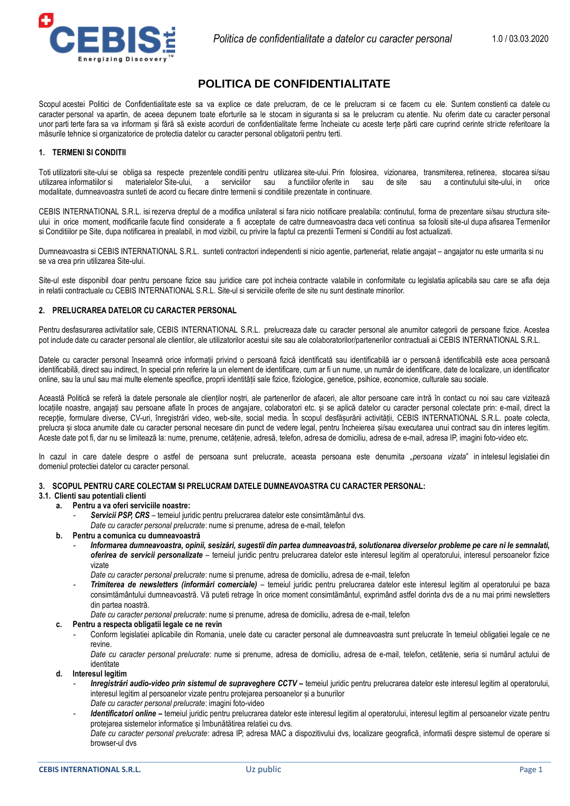

## **POLITICA DE CONFIDENTIALITATE**

Scopul acestei Politici de Confidentialitate este sa va explice ce date prelucram, de ce le prelucram si ce facem cu ele. Suntem constienti ca datele cu caracter personal va apartin, de aceea depunem toate eforturile sa le stocam in siguranta si sa le prelucram cu atentie. Nu oferim date cu caracter personal unor parti terte fara sa va informam și fără să existe acorduri de confidentialitate ferme încheiate cu aceste terțe părti care cuprind cerinte stricte referitoare la măsurile tehnice si organizatorice de protectia datelor cu caracter personal obligatorii pentru terti.

### **1. TERMENI SI CONDITII**

Toti utilizatorii site-ului se obliga sa respecte prezentele conditii pentru utilizarea site-ului. Prin folosirea, vizionarea, transmiterea, retinerea, stocarea si/sau utilizarea informatiilor si materialelor Site-ului, a serviciilor sau a functiilor oferite in sau de site sau a continutului site-ului, in modalitate, dumneavoastra sunteti de acord cu fiecare dintre termenii si conditiile prezentate in continuare.

CEBIS INTERNATIONAL S.R.L. isi rezerva dreptul de a modifica unilateral si fara nicio notificare prealabila: continutul, forma de prezentare si/sau structura siteului in orice moment, modificarile facute fiind considerate a fi acceptate de catre dumneavoastra daca veti continua sa folositi site-ul dupa afisarea Termenilor si Conditiilor pe Site, dupa notificarea in prealabil, in mod vizibil, cu privire la faptul ca prezentii Termeni si Conditii au fost actualizati.

Dumneavoastra si CEBIS INTERNATIONAL S.R.L. sunteti contractori independenti si nicio agentie, parteneriat, relatie angajat – angajator nu este urmarita si nu se va crea prin utilizarea Site-ului.

Site-ul este disponibil doar pentru persoane fizice sau juridice care pot incheia contracte valabile in conformitate cu legislatia aplicabila sau care se afla deja in relatii contractuale cu CEBIS INTERNATIONAL S.R.L. Site-ul si serviciile oferite de site nu sunt destinate minorilor.

## **2. PRELUCRAREA DATELOR CU CARACTER PERSONAL**

Pentru desfasurarea activitatilor sale, CEBIS INTERNATIONAL S.R.L. prelucreaza date cu caracter personal ale anumitor categorii de persoane fizice. Acestea pot include date cu caracter personal ale clientilor, ale utilizatorilor acestui site sau ale colaboratorilor/partenerilor contractuali ai CEBIS INTERNATIONAL S.R.L.

Datele cu caracter personal înseamnă orice informații privind o persoană fizică identificată sau identificabilă iar o persoană identificabilă este acea persoană identificabilă, direct sau indirect, în special prin referire la un element de identificare, cum ar fi un nume, un număr de identificare, date de localizare, un identificator online, sau la unul sau mai multe elemente specifice, proprii identității sale fizice, fiziologice, genetice, psihice, economice, culturale sau sociale.

Această Politică se referă la datele personale ale clienților noștri, ale partenerilor de afaceri, ale altor persoane care intră în contact cu noi sau care vizitează locațiile noastre, angajați sau persoane aflate în proces de angajare, colaboratori etc. și se aplică datelor cu caracter personal colectate prin: e-mail, direct la recepție, formulare diverse, CV-uri, înregistrări video, web-site, social media. În scopul desfășurării activității, CEBIS INTERNATIONAL S.R.L. poate colecta, prelucra și stoca anumite date cu caracter personal necesare din punct de vedere legal, pentru încheierea și/sau executarea unui contract sau din interes legitim. Aceste date pot fi, dar nu se limitează la: nume, prenume, cetățenie, adresă, telefon, adresa de domiciliu, adresa de e-mail, adresa IP, imagini foto-video etc.

In cazul in care datele despre o astfel de persoana sunt prelucrate, aceasta persoana este denumita "*persoana vizata*" in intelesul legislatiei din domeniul protectiei datelor cu caracter personal.

## **3. SCOPUL PENTRU CARE COLECTAM SI PRELUCRAM DATELE DUMNEAVOASTRA CU CARACTER PERSONAL:**

## **3.1. Clienti sau potentiali clienti**

### **a. Pentru a va oferi serviciile noastre:**

- Servicii PSP, CRS temeiul juridic pentru prelucrarea datelor este consimtământul dvs.
	- *Date cu caracter personal prelucrate*: nume si prenume, adresa de e-mail, telefon
- **b. Pentru a comunica cu dumneavoastră**
	- *Informarea dumneavoastra, opinii, sesizări, sugestii din partea dumneavoastră, solutionarea diverselor probleme pe care ni le semnalati, oferirea de servicii personalizate* – temeiul juridic pentru prelucrarea datelor este interesul legitim al operatorului, interesul persoanelor fizice vizate
		- *Date cu caracter personal prelucrate*: nume si prenume, adresa de domiciliu, adresa de e-mail, telefon
	- *Trimiterea de newsletters (informări comerciale)* temeiul juridic pentru prelucrarea datelor este interesul legitim al operatorului pe baza consimtământului dumneavoastră. Vă puteti retrage în orice moment consimtământul, exprimând astfel dorinta dvs de a nu mai primi newsletters din partea noastră.

*Date cu caracter personal prelucrate*: nume si prenume, adresa de domiciliu, adresa de e-mail, telefon

### **c. Pentru a respecta obligatii legale ce ne revin**

- Conform legislatiei aplicabile din Romania, unele date cu caracter personal ale dumneavoastra sunt prelucrate în temeiul obligatiei legale ce ne revine.
- *Date cu caracter personal prelucrate*: nume si prenume, adresa de domiciliu, adresa de e-mail, telefon, cetătenie, seria si numărul actului de identitate
- **d. Interesul legitim**
	- *Inregistrări audio-video prin sistemul de supraveghere CCTV –* temeiul juridic pentru prelucrarea datelor este interesul legitim al operatorului, interesul legitim al persoanelor vizate pentru protejarea persoanelor și a bunurilor *Date cu caracter personal prelucrate*: imagini foto-video
	- *Identificatori online –* temeiul juridic pentru prelucrarea datelor este interesul legitim al operatorului, interesul legitim al persoanelor vizate pentru protejarea sistemelor informatice și îmbunătătirea relatiei cu dvs.
	- *Date cu caracter personal prelucrate*: adresa IP, adresa MAC a dispozitivului dvs, localizare geografică, informatii despre sistemul de operare si browser-ul dvs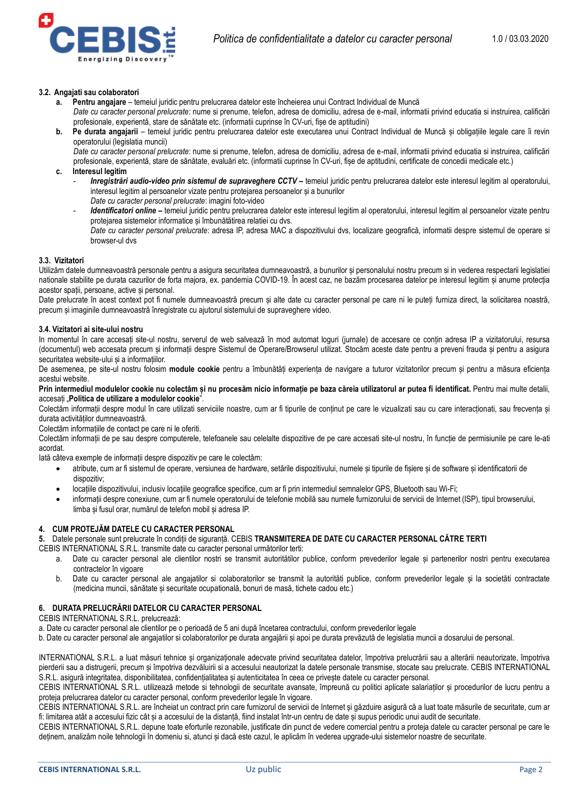

### **3.2. Angajati sau colaboratori**

- **a. Pentru angajare**  temeiul juridic pentru prelucrarea datelor este încheierea unui Contract Individual de Muncă *Date cu caracter personal prelucrate*: nume si prenume, telefon, adresa de domiciliu, adresa de e-mail, informatii privind educatia si instruirea, calificări profesionale, experientă, stare de sănătate etc. (informatii cuprinse în CV-uri, fișe de aptitudini)
- **b. Pe durata angajarii** temeiul juridic pentru prelucrarea datelor este executarea unui Contract Individual de Muncă și obligațiile legale care îi revin operatorului (legislatia muncii) *Date cu caracter personal prelucrate*: nume si prenume, telefon, adresa de domiciliu, adresa de e-mail, informatii privind educatia si instruirea, calificări profesionale, experientă, stare de sănătate, evaluări etc. (informatii cuprinse în CV-uri, fișe de aptitudini, certificate de concedii medicale etc.)
- **c. Interesul legitim**
	- *Inregistrări audio-video prin sistemul de supraveghere CCTV –* temeiul juridic pentru prelucrarea datelor este interesul legitim al operatorului, interesul legitim al persoanelor vizate pentru protejarea persoanelor și a bunurilor
	- *Date cu caracter personal prelucrate*: imagini foto-video Identificatori online - temeiul juridic pentru prelucrarea datelor este interesul legitim al operatorului, interesul legitim al persoanelor vizate pentru protejarea sistemelor informatice și îmbunătătirea relatiei cu dvs. *Date cu caracter personal prelucrate*: adresa IP, adresa MAC a dispozitivului dvs, localizare geografică, informatii despre sistemul de operare si browser-ul dvs

### **3.3. Vizitatori**

Utilizăm datele dumneavoastră personale pentru a asigura securitatea dumneavoastră, a bunurilor și personalului nostru precum si in vederea respectarii legislatiei nationale stabilite pe durata cazurilor de forta majora, ex. pandemia COVID-19. În acest caz, ne bazăm procesarea datelor pe interesul legitim și anume protecția acestor spatii, persoane, active și personal.

Date prelucrate în acest context pot fi numele dumneavoastră precum și alte date cu caracter personal pe care ni le puteți furniza direct, la solicitarea noastră, precum și imaginile dumneavoastră înregistrate cu ajutorul sistemului de supraveghere video.

### **3.4. Vizitatori ai site-ului nostru**

In momentul în care accesați site-ul nostru, serverul de web salvează în mod automat loguri (jurnale) de accesare ce conțin adresa IP a vizitatorului, resursa (documentul) web accesata precum și informații despre Sistemul de Operare/Browserul utilizat. Stocăm aceste date pentru a preveni frauda și pentru a asigura securitatea website-ului și a informațiilor.

De asemenea, pe site-ul nostru folosim **module cookie** pentru a îmbunătăți experiența de navigare a tuturor vizitatorilor precum și pentru a măsura eficiența acestui website.

**Prin intermediul modulelor cookie nu colectăm și nu procesăm nicio informație pe baza căreia utilizatorul ar putea fi identificat.** Pentru mai multe detalii, accesați "**Politica de utilizare a modulelor cookie**".

Colectăm informații despre modul în care utilizati serviciile noastre, cum ar fi tipurile de conținut pe care le vizualizati sau cu care interacționati, sau frecvența și durata activităților dumneavoastră.

Colectăm informațiile de contact pe care ni le oferiti.

Colectăm informații de pe sau despre computerele, telefoanele sau celelalte dispozitive de pe care accesati site-ul nostru, în funcție de permisiunile pe care le-ati acordat.

Iată câteva exemple de informații despre dispozitiv pe care le colectăm:

- atribute, cum ar fi sistemul de operare, versiunea de hardware, setările dispozitivului, numele și tipurile de fișiere și de software și identificatorii de dispozitiv;
- locațiile dispozitivului, inclusiv locațiile geografice specifice, cum ar fi prin intermediul semnalelor GPS, Bluetooth sau Wi-Fi;
- informații despre conexiune, cum ar fi numele operatorului de telefonie mobilă sau numele furnizorului de servicii de Internet (ISP), tipul browserului, limba și fusul orar, numărul de telefon mobil și adresa IP.

### **4. CUM PROTEJĂM DATELE CU CARACTER PERSONAL**

**5.** Datele personale sunt prelucrate în condiții de siguranță. CEBIS **TRANSMITEREA DE DATE CU CARACTER PERSONAL CĂTRE TERTI**

CEBIS INTERNATIONAL S.R.L. transmite date cu caracter personal următorilor terti:

- a. Date cu caracter personal ale clientilor nostri se transmit autoritătilor publice, conform prevederilor legale și partenerilor nostri pentru executarea contractelor în vigoare
- b. Date cu caracter personal ale angajatilor si colaboratorilor se transmit la autorităti publice, conform prevederilor legale și la societăti contractate (medicina muncii, sănătate și securitate ocupatională, bonuri de masă, tichete cadou etc.)

## **6. DURATA PRELUCRĂRII DATELOR CU CARACTER PERSONAL**

CEBIS INTERNATIONAL S.R.L. prelucrează:

a. Date cu caracter personal ale clientilor pe o perioadă de 5 ani după încetarea contractului, conform prevederilor legale

b. Date cu caracter personal ale angajatilor si colaboratorilor pe durata angajării și apoi pe durata prevăzută de legislatia muncii a dosarului de personal.

INTERNATIONAL S.R.L. a luat măsuri tehnice și organizaționale adecvate privind securitatea datelor, împotriva prelucrării sau a alterării neautorizate, împotriva pierderii sau a distrugerii, precum și împotriva dezvăluirii si a accesului neautorizat la datele personale transmise, stocate sau prelucrate. CEBIS INTERNATIONAL S.R.L. asigură integritatea, disponibilitatea, confidentialitatea și autenticitatea în ceea ce privește datele cu caracter personal.

CEBIS INTERNATIONAL S.R.L. utilizează metode si tehnologii de securitate avansate, împreună cu politici aplicate salariaților și procedurilor de lucru pentru a proteja prelucrarea datelor cu caracter personal, conform prevederilor legale în vigoare.

CEBIS INTERNATIONAL S.R.L. are încheiat un contract prin care furnizorul de servicii de Internet și găzduire asigură că a luat toate măsurile de securitate, cum ar fi: limitarea atât a accesului fizic cât și a accesului de la distanță, fiind instalat într-un centru de date și supus periodic unui audit de securitate.

CEBIS INTERNATIONAL S.R.L. depune toate eforturile rezonabile, justificate din punct de vedere comercial pentru a proteja datele cu caracter personal pe care le deținem, analizăm noile tehnologii în domeniu si, atunci și dacă este cazul, le aplicăm în vederea upgrade-ului sistemelor noastre de securitate.